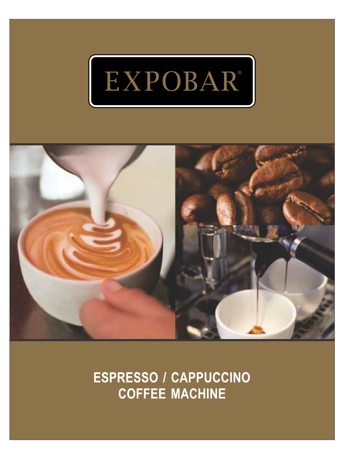



**ESPRESSO / CAPPUCCINO COFFEE MACHINE**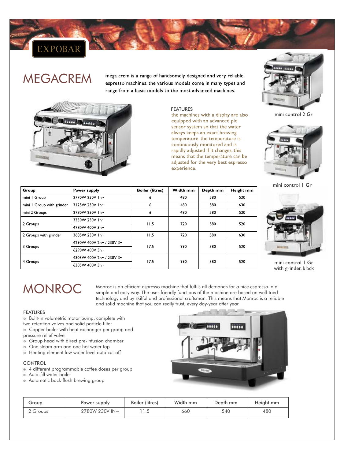### EXPOBAR<sup>®</sup>

## MEGACREM

mega crem is a range of handsomely designed and very reliable espresso machines. the various models come in many types and range from a basic models to the most advanced machines.



FEATURES<br>the machines with a display are also equipped with an advanced pid sensor system so that the water always keeps an exact brewing temperature. the temperature is continuously monitored and is rapidly adjusted if it changes. this means that the temperature can be adjusted for the very best espresso experience.



mini control 2 Gr



mini control | Gr

| Group                     | Power supply             | <b>Boiler (litres)</b> | Width mm | Depth mm | Height mm |
|---------------------------|--------------------------|------------------------|----------|----------|-----------|
| mini I Group              | 2770W 230V In~           | 6                      | 480      | 580      | 520       |
| mini I Group with grinder | 3125W 230V In~           | 6                      | 480      | 580      | 630       |
| mini 2 Groups             | 2780W 230V In~           | 6                      | 480      | 580      | 520       |
| 2 Groups                  | 3330W 230V In~           |                        | 720      | 580      | 520       |
|                           | 4780W 400V 3n~           | 11.5                   |          |          |           |
| 2 Groups with grinder     | 3685W 230V In~           | 11.5                   | 720      | 580      | 630       |
| 3 Groups                  | 4290W 400V 2n~ / 230V 3~ |                        | 990      | 580      |           |
|                           | 6290W 400V 3n~           | 17.5                   |          |          | 520       |
| 4 Groups                  | 4305W 400V 2n~ / 230V 3~ | 17.5                   | 990      | 580      |           |
|                           | 6305W 400V 3n~           |                        |          |          | 520       |



mini control | Gr with grinder, black

# MONROC

Monroc is an efficient espresso machine that fulfils all demands for a nice espresso in a simple and easy way. The user-friendly functions of the machine are based on well-tried technology and by skilful and professional craftsman. This means that Monroc is a reliable and solid machine that you can really trust, every day-year after year.

#### FEATURES

- $\circ$  Built-in volumetric motor pump, complete with
- two retention valves and solid particle filter
- <sup>®</sup> Copper boiler with heat exchanger per group and pressure relief valve
- <sup>®</sup> Group head with direct pre-infusion chamber
- <sup>®</sup> One steam arm and one hot water tap
- <sup>®</sup> Heating element low water level auto cut-off

#### **CONTROL**

- <sup>3</sup> 4 different programmable coffee doses per group
- <sup>3</sup> Auto-fill water boiler
- <sup>®</sup> Automatic back-flush brewing group

| Group    | Power supply   | <b>Boiler (litres)</b> | Width mm | Depth mm | Height mm |
|----------|----------------|------------------------|----------|----------|-----------|
| 2 Groups | 2780W 230V IN~ |                        | 660      | 540      | 480       |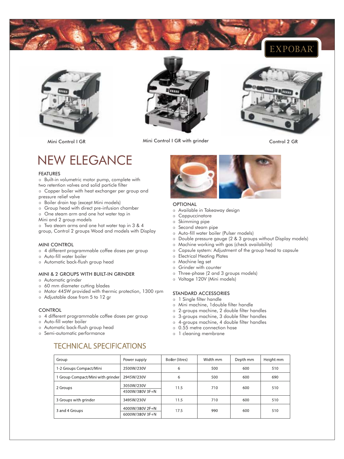





Mini Control I GR Mini Control I GR with grinder Control 2 GR Mini Control 2 GR



## NEW ELEGANCE

#### FEATURES

- $\circ$  Built-in volumetric motor pump, complete with two retention valves and solid particle filter
- <sup>®</sup> Copper boiler with heat exchanger per group and pressure relief valve
- <sup>®</sup> Boiler drain tap (except Mini models)
- <sup>®</sup> Group head with direct pre-infusion chamber
- <sup>®</sup> One steam arm and one hot water tap in
- Mini and 2 group models

lTwo steam arms and one hot water tap in 3 & 4 group, Control 2 groups Wood and models with Display

#### MINI CONTROL

- <sup>3</sup> 4 different programmable coffee doses per group
- <sup>3</sup> Auto-fill water boiler
- <sup>®</sup> Automatic back-flush group head

#### MINI & 2 GROUPS WITH BUILT-IN GRINDER

- <sup>3</sup> Automatic grinder
- <sup>®</sup> 60 mm diameter cutting blades
- $\textdegree$  Motor 445W provided with thermic protection, 1300 rpm

**TECHNICAL SPECIFICATIONS** 

<sup>3</sup> Adjustable dose from 5 to 12 gr

#### **CONTROL**

- <sup>3</sup> 4 different programmable coffee doses per group
- <sup>3</sup> Auto-fill water boiler
- <sup>®</sup> Automatic back-flush group head
- <sup>®</sup> Semi-automatic performance

### **OPTIONAL**

- <sup>3</sup> Available in Takeaway design
- <sup>3</sup> Cappuccinatore
- **3** Skimming pipe
- <sup>3</sup> Second steam pipe
- $\circ$  Auto-fill water boiler (Pulser models)
- <sup>®</sup> Double pressure gauge (2 & 3 groups without Display models)
- $\circ$  Machine working with gas (check availability)
- <sup>®</sup> Capsule system: Adjustment of the group head to capsule
- <sup>®</sup> Electrical Heating Plates
- <sup>3</sup> Machine leg set
- **B** Grinder with counter
- lThree-phase (2 and 3 groups models)
- <sup>3</sup> Voltage 120V (Mini models)

#### STANDARD ACCESSORIES

- **3** 1 Single filter handle
- <sup>®</sup> Mini machine, 1double filter handle
- <sup>3</sup> 2-groups machine, 2 double filter handles
- <sup>3</sup> 3-groups machine, 3 double filter handles
- l4-groups machine, 4 double filter handles
- <sup>0</sup> 0.55 metre connection hose
- <sup>3</sup> l cleaning membrane

| Group                             | Power supply                       | Boiler (litres) | Width mm | Depth mm | Height mm |
|-----------------------------------|------------------------------------|-----------------|----------|----------|-----------|
| 1-2 Groups Compact/Mini           | 2500W/230V                         | 6               | 500      | 600      | 510       |
| 1 Group Compact/Mini with grinder | 2945W/230V                         | 6               | 500      | 600      | 690       |
| 2 Groups                          | 3050W/230V<br>4500W/380V 3F+N      | 11.5            | 710      | 600      | 510       |
| 3 Groups with grinder             | 3495W/230V                         | 11.5            | 710      | 600      | 510       |
| 3 and 4 Groups                    | 4000W/380V 2F+N<br>6000W/380V 3F+N | 17.5            | 990      | 600      | 510       |